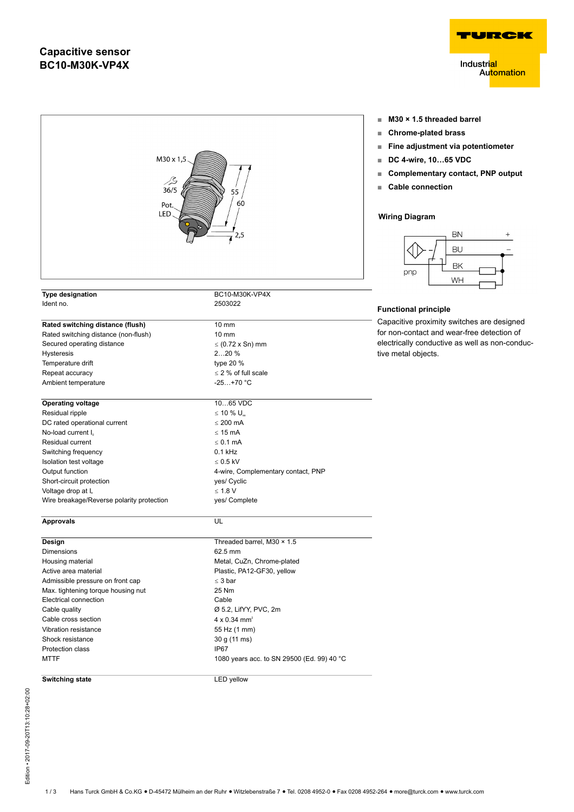## **Capacitive sensor BC10-M30K-VP4X**





- **■ M30 × 1.5 threaded barrel**
- 
- **■ Fine adjustment via potentiometer**
- **■ DC 4-wire, 10…65 VDC**
- **■ Complementary contact, PNP output**
- 



Capacitive proximity switches are designed for non-contact and wear-free detection of electrically conductive as well as non-conduc-

Electrical connection and cable Cable Cable quality  $\emptyset$  5.2, LifYY, PVC, 2m Cable cross section  $4 \times 0.34$  mm<sup>2</sup><br>Vibration resistance 55 Hz (1 mm) Shock resistance 30 g (11 ms) Protection class IP67<br>MTTF 1080 1080 years acc. to SN 29500 (Ed. 99) 40 °C

#### **Switching state** LED yellow

Vibration resistance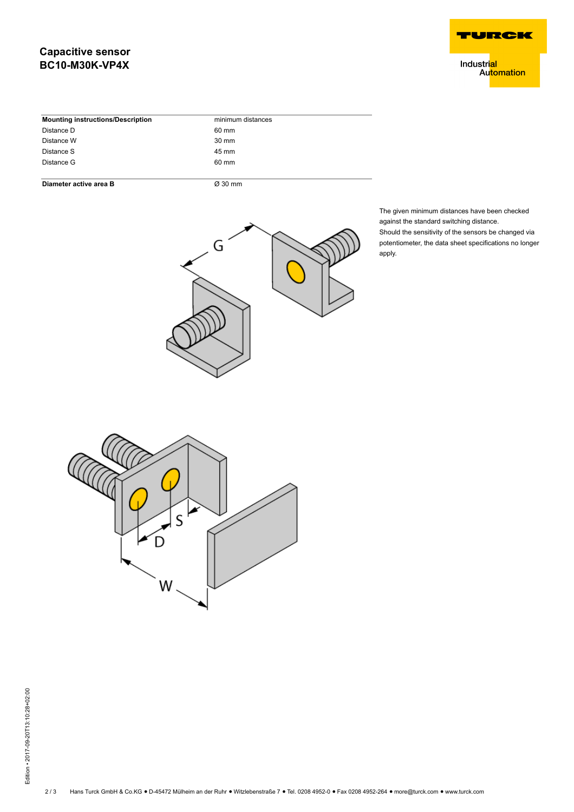# **Capacitive sensor BC10-M30K-VP4X**



Industri<mark>al</mark> Automation

| <b>Mounting instructions/Description</b> | minimum distances |
|------------------------------------------|-------------------|
| Distance D                               | 60 mm             |
| Distance W                               | 30 mm             |
| Distance S                               | 45 mm             |
| Distance G                               | 60 mm             |
|                                          |                   |

#### **Diameter active area B**  $\overline{\varnothing}$  30 mm



The given minimum distances have been checked against the standard switching distance. Should the sensitivity of the sensors be changed via potentiometer, the data sheet specifications no longer apply.